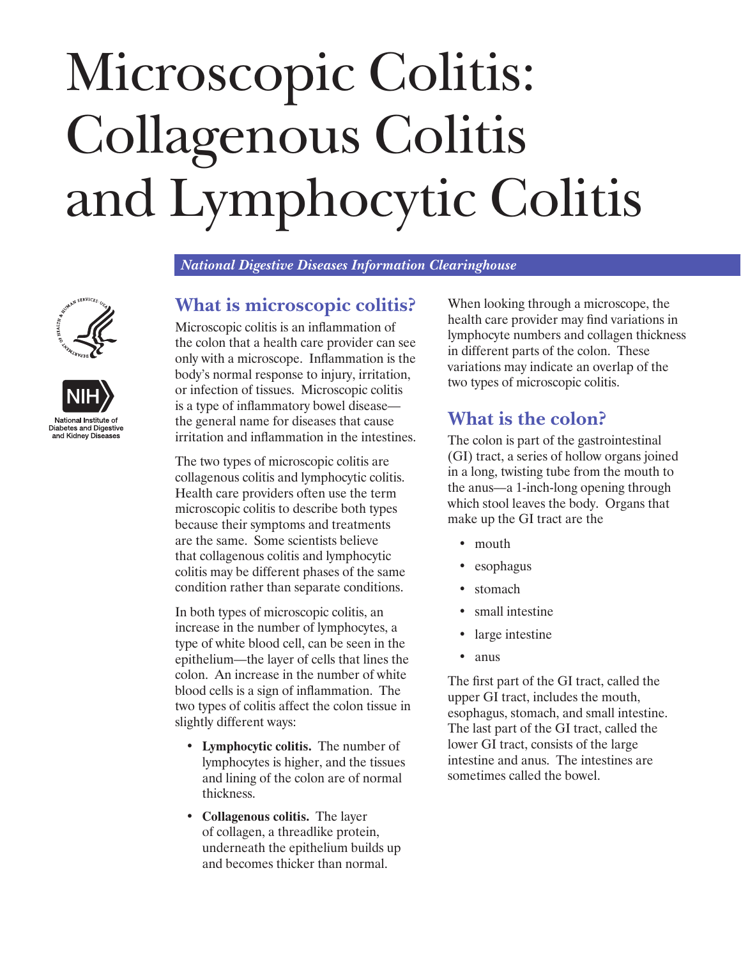# Microscopic Colitis: Collagenous Colitis and Lymphocytic Colitis

*National Digestive Diseases Information Clearinghouse*





# **What is microscopic colitis?**

Microscopic colitis is an inflammation of the colon that a health care provider can see only with a microscope. Inflammation is the body's normal response to injury, irritation, or infection of tissues. Microscopic colitis is a type of inflammatory bowel disease the general name for diseases that cause irritation and inflammation in the intestines.

The two types of microscopic colitis are collagenous colitis and lymphocytic colitis. Health care providers often use the term microscopic colitis to describe both types because their symptoms and treatments are the same. Some scientists believe that collagenous colitis and lymphocytic colitis may be different phases of the same condition rather than separate conditions.

In both types of microscopic colitis, an increase in the number of lymphocytes, a type of white blood cell, can be seen in the epithelium—the layer of cells that lines the colon. An increase in the number of white blood cells is a sign of inflammation. The two types of colitis affect the colon tissue in slightly different ways:

- Lymphocytic colitis. The number of lymphocytes is higher, and the tissues and lining of the colon are of normal thickness.
- Collagenous colitis. The layer of collagen, a threadlike protein, underneath the epithelium builds up and becomes thicker than normal.

When looking through a microscope, the health care provider may find variations in lymphocyte numbers and collagen thickness in different parts of the colon. These variations may indicate an overlap of the two types of microscopic colitis.

# **What is the colon?**

The colon is part of the gastrointestinal (GI) tract, a series of hollow organs joined in a long, twisting tube from the mouth to the anus––a 1-inch-long opening through which stool leaves the body. Organs that make up the GI tract are the

- $\bullet$  mouth
- esophagus
- stomach
- small intestine
- large intestine
- $\bullet$  anus

The first part of the GI tract, called the upper GI tract, includes the mouth, esophagus, stomach, and small intestine. The last part of the GI tract, called the lower GI tract, consists of the large intestine and anus. The intestines are sometimes called the bowel.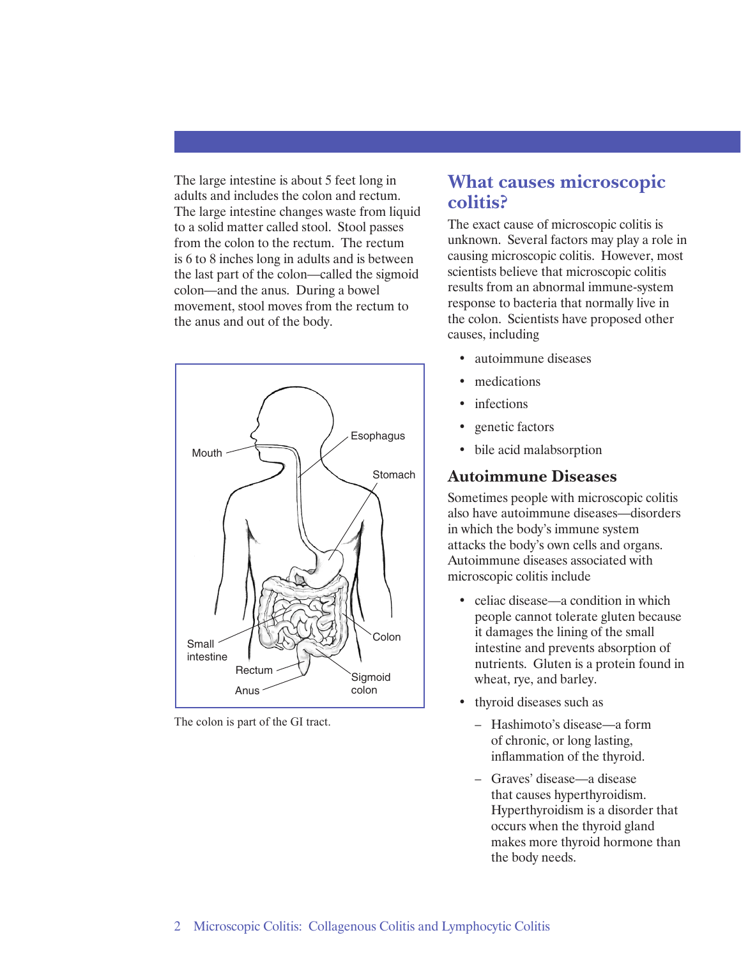The large intestine is about 5 feet long in adults and includes the colon and rectum. The large intestine changes waste from liquid to a solid matter called stool. Stool passes from the colon to the rectum. The rectum is 6 to 8 inches long in adults and is between the last part of the colon—called the sigmoid colon—and the anus. During a bowel movement, stool moves from the rectum to the anus and out of the body.



The colon is part of the GI tract.

# **What causes microscopic colitis?**

The exact cause of microscopic colitis is unknown. Several factors may play a role in causing microscopic colitis. However, most scientists believe that microscopic colitis results from an abnormal immune-system response to bacteria that normally live in the colon. Scientists have proposed other causes, including

- autoimmune diseases
- medications
- infections
- genetic factors
- bile acid malabsorption

#### **Autoimmune Diseases**

Sometimes people with microscopic colitis also have autoimmune diseases—disorders in which the body's immune system attacks the body's own cells and organs. Autoimmune diseases associated with microscopic colitis include

- celiac disease—a condition in which people cannot tolerate gluten because it damages the lining of the small intestine and prevents absorption of nutrients. Gluten is a protein found in wheat, rye, and barley.
- thyroid diseases such as
	- Hashimoto's disease––a form of chronic, or long lasting, inflammation of the thyroid.
	- Graves' disease—a disease that causes hyperthyroidism. Hyperthyroidism is a disorder that occurs when the thyroid gland makes more thyroid hormone than the body needs.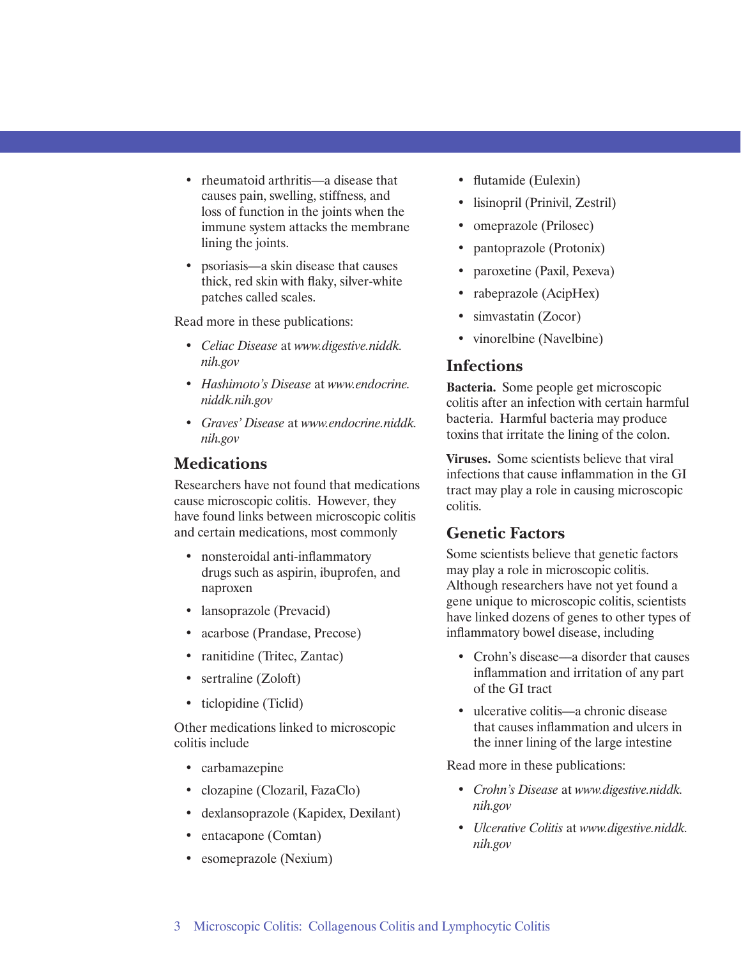- rheumatoid arthritis—a disease that causes pain, swelling, stiffness, and loss of function in the joints when the immune system attacks the membrane lining the joints.
- psoriasis—a skin disease that causes thick, red skin with flaky, silver-white patches called scales.

Read more in these publications:

- VË *Celiac Disease* at *www.digestive.niddk. nih.gov*
- VË *Hashimoto's Disease* at *www.endocrine. niddk.nih.gov*
- VË *Graves' Disease* at *www.endocrine.niddk. nih.gov*

## **Medications**

Researchers have not found that medications cause microscopic colitis. However, they have found links between microscopic colitis and certain medications, most commonly

- nonsteroidal anti-inflammatory drugs such as aspirin, ibuprofen, and naproxen
- lansoprazole (Prevacid)
- acarbose (Prandase, Precose)
- ranitidine (Tritec, Zantac)
- sertraline (Zoloft)
- ticlopidine (Ticlid)

Other medications linked to microscopic colitis include

- carbamazepine
- clozapine (Clozaril, FazaClo)
- dexlansoprazole (Kapidex, Dexilant)
- entacapone (Comtan)
- esomeprazole (Nexium)
- flutamide (Eulexin)
- lisinopril (Prinivil, Zestril)
- omeprazole (Prilosec)
- pantoprazole (Protonix)
- paroxetine (Paxil, Pexeva)
- $\bullet$  rabeprazole (AcipHex)
- $\bullet$  simvastatin (Zocor)
- vinorelbine (Navelbine)

#### **Infections**

**Bacteria.** Some people get microscopic colitis after an infection with certain harmful bacteria. Harmful bacteria may produce toxins that irritate the lining of the colon.

**Viruses.** Some scientists believe that viral infections that cause inflammation in the GI tract may play a role in causing microscopic colitis.

## **Genetic Factors**

Some scientists believe that genetic factors may play a role in microscopic colitis. Although researchers have not yet found a gene unique to microscopic colitis, scientists have linked dozens of genes to other types of inflammatory bowel disease, including

- Crohn's disease—a disorder that causes inflammation and irritation of any part of the GI tract
- ulcerative colitis—a chronic disease that causes inflammation and ulcers in the inner lining of the large intestine

Read more in these publications:

- VË *Crohn's Disease* at *www.digestive.niddk. nih.gov*
- $\bullet$  *Ulcerative Colitis* at *www.digestive.niddk. nih.gov*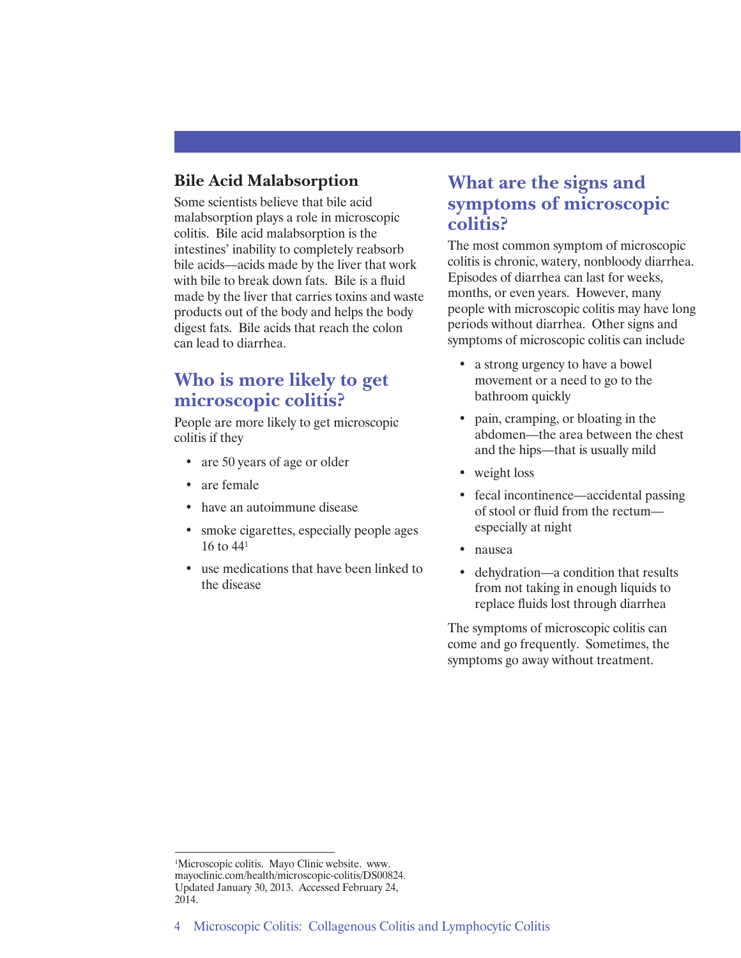## **Bile Acid Malabsorption**

Some scientists believe that bile acid malabsorption plays a role in microscopic colitis. Bile acid malabsorption is the intestines' inability to completely reabsorb bile acids––acids made by the liver that work with bile to break down fats. Bile is a fluid made by the liver that carries toxins and waste products out of the body and helps the body digest fats. Bile acids that reach the colon can lead to diarrhea.

# **Who is more likely to get microscopic colitis?**

People are more likely to get microscopic colitis if they

- are 50 years of age or older
- are female
- have an autoimmune disease
- smoke cigarettes, especially people ages 16 to 44<sup>1</sup>
- use medications that have been linked to the disease

# **What are the signs and symptoms of microscopic colitis?**

The most common symptom of microscopic colitis is chronic, watery, nonbloody diarrhea. Episodes of diarrhea can last for weeks, months, or even years. However, many people with microscopic colitis may have long periods without diarrhea. Other signs and symptoms of microscopic colitis can include

- a strong urgency to have a bowel movement or a need to go to the bathroom quickly
- pain, cramping, or bloating in the abdomen—the area between the chest and the hips—that is usually mild
- $\bullet$  weight loss
- fecal incontinence—accidental passing of stool or fluid from the rectum especially at night
- nausea
- dehydration—a condition that results from not taking in enough liquids to replace fluids lost through diarrhea

The symptoms of microscopic colitis can come and go frequently. Sometimes, the symptoms go away without treatment.

<sup>1</sup>Microscopic colitis. Mayo Clinic website. www. mayoclinic.com/health/microscopic-colitis/DS00824. Updated January 30, 2013. Accessed February 24, 2014.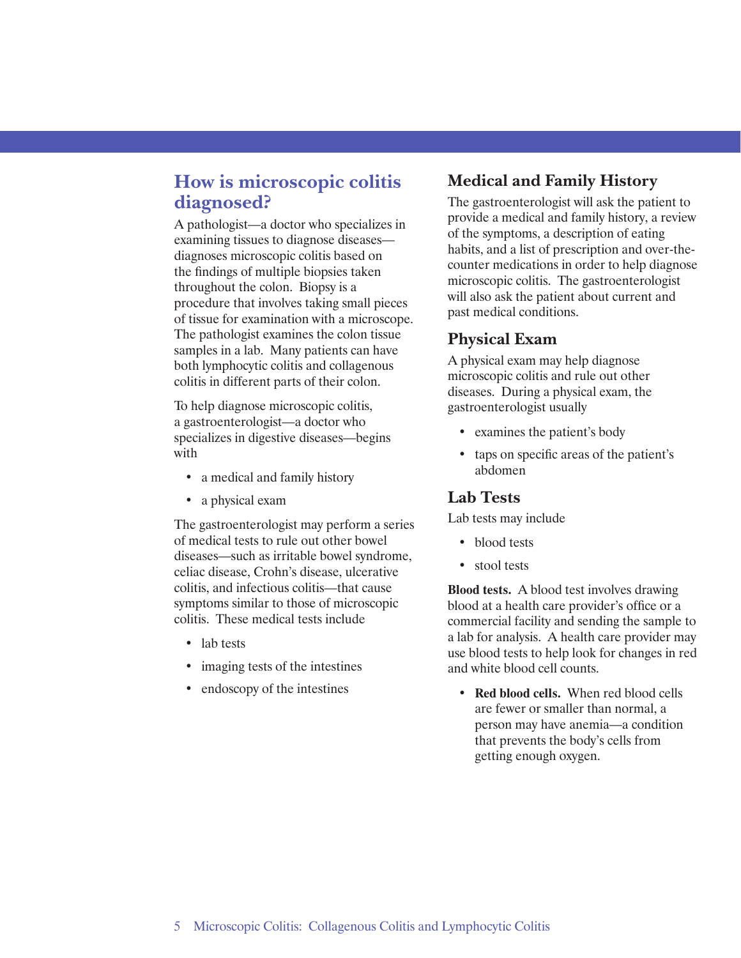# **How is microscopic colitis diagnosed?**

A pathologist––a doctor who specializes in examining tissues to diagnose diseases–– diagnoses microscopic colitis based on the findings of multiple biopsies taken throughout the colon. Biopsy is a procedure that involves taking small pieces of tissue for examination with a microscope. The pathologist examines the colon tissue samples in a lab. Many patients can have both lymphocytic colitis and collagenous colitis in different parts of their colon.

To help diagnose microscopic colitis, a gastroenterologist—a doctor who specializes in digestive diseases—begins with

- a medical and family history
- a physical exam

The gastroenterologist may perform a series of medical tests to rule out other bowel diseases––such as irritable bowel syndrome, celiac disease, Crohn's disease, ulcerative colitis, and infectious colitis––that cause symptoms similar to those of microscopic colitis. These medical tests include

- lab tests
- imaging tests of the intestines
- endoscopy of the intestines

## **Medical and Family History**

The gastroenterologist will ask the patient to provide a medical and family history, a review of the symptoms, a description of eating habits, and a list of prescription and over-thecounter medications in order to help diagnose microscopic colitis. The gastroenterologist will also ask the patient about current and past medical conditions.

#### **Physical Exam**

A physical exam may help diagnose microscopic colitis and rule out other diseases. During a physical exam, the gastroenterologist usually

- examines the patient's body
- taps on specific areas of the patient's abdomen

#### **Lab Tests**

Lab tests may include

- blood tests
- stool tests

**Blood tests.** A blood test involves drawing blood at a health care provider's office or a commercial facility and sending the sample to a lab for analysis. A health care provider may use blood tests to help look for changes in red and white blood cell counts.

• Red blood cells. When red blood cells are fewer or smaller than normal, a person may have anemia––a condition that prevents the body's cells from getting enough oxygen.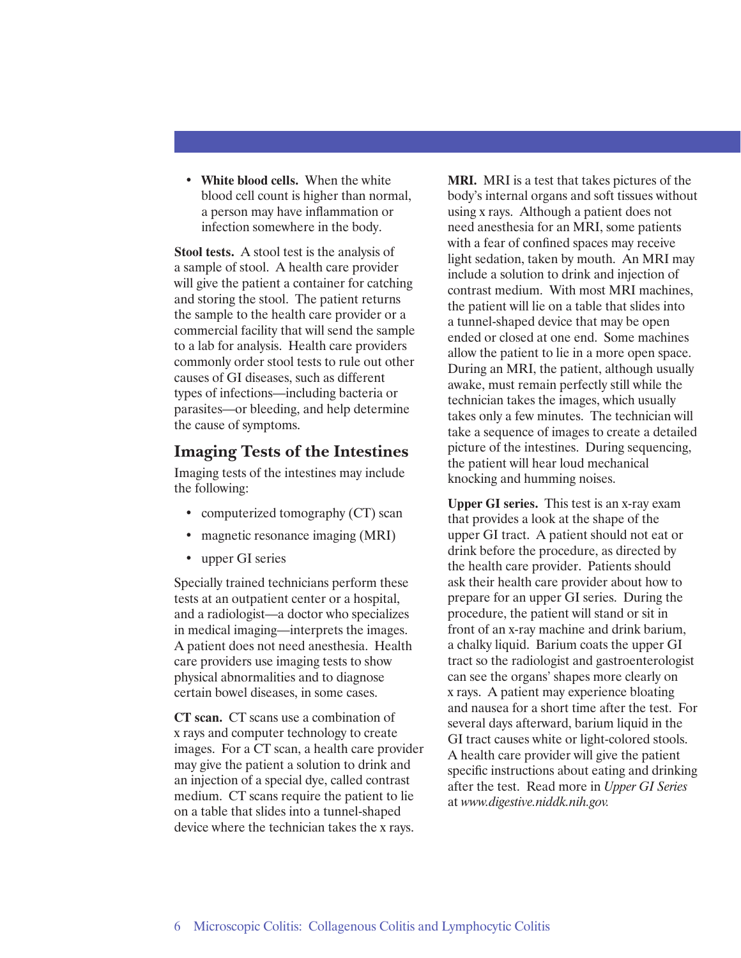• White blood cells. When the white blood cell count is higher than normal, a person may have inflammation or infection somewhere in the body.

**Stool tests.** A stool test is the analysis of a sample of stool. A health care provider will give the patient a container for catching and storing the stool. The patient returns the sample to the health care provider or a commercial facility that will send the sample to a lab for analysis. Health care providers commonly order stool tests to rule out other causes of GI diseases, such as different types of infections––including bacteria or parasites––or bleeding, and help determine the cause of symptoms.

#### **Imaging Tests of the Intestines**

Imaging tests of the intestines may include the following:

- computerized tomography  $(CT)$  scan
- magnetic resonance imaging (MRI)
- $\bullet$  upper GI series

Specially trained technicians perform these tests at an outpatient center or a hospital, and a radiologist—a doctor who specializes in medical imaging—interprets the images. A patient does not need anesthesia. Health care providers use imaging tests to show physical abnormalities and to diagnose certain bowel diseases, in some cases.

**CT scan.** CT scans use a combination of x rays and computer technology to create images. For a CT scan, a health care provider may give the patient a solution to drink and an injection of a special dye, called contrast medium. CT scans require the patient to lie on a table that slides into a tunnel-shaped device where the technician takes the x rays.

**MRI.** MRI is a test that takes pictures of the body's internal organs and soft tissues without using x rays. Although a patient does not need anesthesia for an MRI, some patients with a fear of confined spaces may receive light sedation, taken by mouth. An MRI may include a solution to drink and injection of contrast medium. With most MRI machines, the patient will lie on a table that slides into a tunnel-shaped device that may be open ended or closed at one end. Some machines allow the patient to lie in a more open space. During an MRI, the patient, although usually awake, must remain perfectly still while the technician takes the images, which usually takes only a few minutes. The technician will take a sequence of images to create a detailed picture of the intestines. During sequencing, the patient will hear loud mechanical knocking and humming noises.

**Upper GI series.** This test is an x-ray exam that provides a look at the shape of the upper GI tract. A patient should not eat or drink before the procedure, as directed by the health care provider. Patients should ask their health care provider about how to prepare for an upper GI series. During the procedure, the patient will stand or sit in front of an x-ray machine and drink barium, a chalky liquid. Barium coats the upper GI tract so the radiologist and gastroenterologist can see the organs' shapes more clearly on x rays. A patient may experience bloating and nausea for a short time after the test. For several days afterward, barium liquid in the GI tract causes white or light-colored stools. A health care provider will give the patient specific instructions about eating and drinking after the test. Read more in *Upper GI Series*  at *www.digestive.niddk.nih.gov.*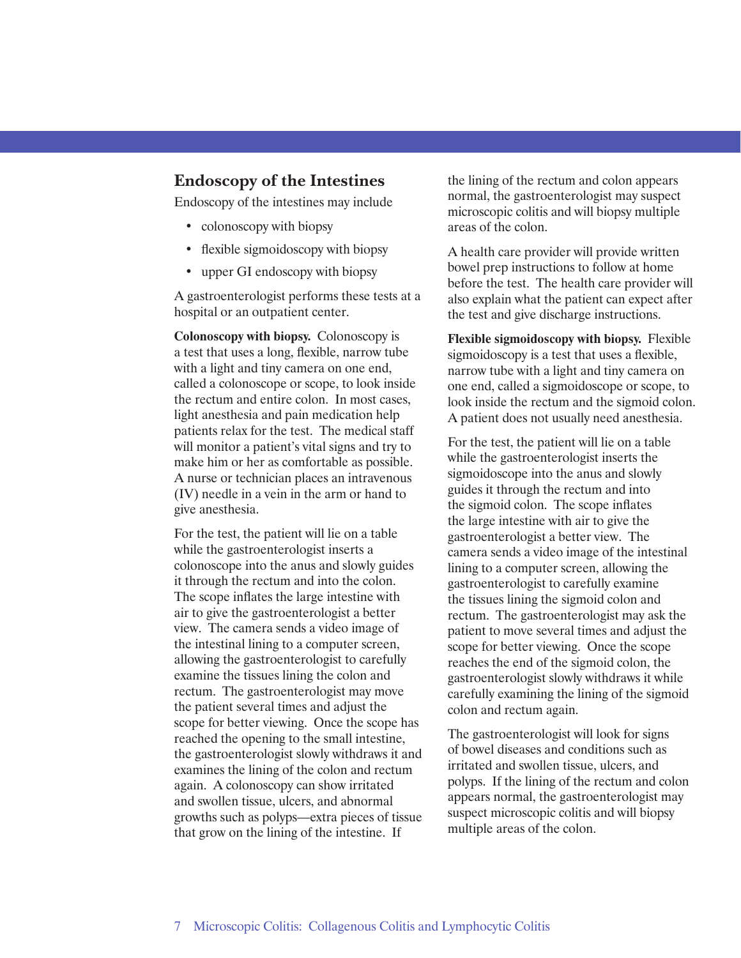#### **Endoscopy of the Intestines**

Endoscopy of the intestines may include

- colonoscopy with biopsy
- flexible sigmoidoscopy with biopsy
- upper GI endoscopy with biopsy

A gastroenterologist performs these tests at a hospital or an outpatient center.

**Colonoscopy with biopsy.** Colonoscopy is a test that uses a long, flexible, narrow tube with a light and tiny camera on one end, called a colonoscope or scope, to look inside the rectum and entire colon. In most cases, light anesthesia and pain medication help patients relax for the test. The medical staff will monitor a patient's vital signs and try to make him or her as comfortable as possible. A nurse or technician places an intravenous (IV) needle in a vein in the arm or hand to give anesthesia.

For the test, the patient will lie on a table while the gastroenterologist inserts a colonoscope into the anus and slowly guides it through the rectum and into the colon. The scope inflates the large intestine with air to give the gastroenterologist a better view. The camera sends a video image of the intestinal lining to a computer screen, allowing the gastroenterologist to carefully examine the tissues lining the colon and rectum. The gastroenterologist may move the patient several times and adjust the scope for better viewing. Once the scope has reached the opening to the small intestine, the gastroenterologist slowly withdraws it and examines the lining of the colon and rectum again. A colonoscopy can show irritated and swollen tissue, ulcers, and abnormal growths such as polyps––extra pieces of tissue that grow on the lining of the intestine. If

the lining of the rectum and colon appears normal, the gastroenterologist may suspect microscopic colitis and will biopsy multiple areas of the colon.

A health care provider will provide written bowel prep instructions to follow at home before the test. The health care provider will also explain what the patient can expect after the test and give discharge instructions.

**Flexible sigmoidoscopy with biopsy.** Flexible sigmoidoscopy is a test that uses a flexible, narrow tube with a light and tiny camera on one end, called a sigmoidoscope or scope, to look inside the rectum and the sigmoid colon. A patient does not usually need anesthesia.

For the test, the patient will lie on a table while the gastroenterologist inserts the sigmoidoscope into the anus and slowly guides it through the rectum and into the sigmoid colon. The scope inflates the large intestine with air to give the gastroenterologist a better view. The camera sends a video image of the intestinal lining to a computer screen, allowing the gastroenterologist to carefully examine the tissues lining the sigmoid colon and rectum. The gastroenterologist may ask the patient to move several times and adjust the scope for better viewing. Once the scope reaches the end of the sigmoid colon, the gastroenterologist slowly withdraws it while carefully examining the lining of the sigmoid colon and rectum again.

The gastroenterologist will look for signs of bowel diseases and conditions such as irritated and swollen tissue, ulcers, and polyps. If the lining of the rectum and colon appears normal, the gastroenterologist may suspect microscopic colitis and will biopsy multiple areas of the colon.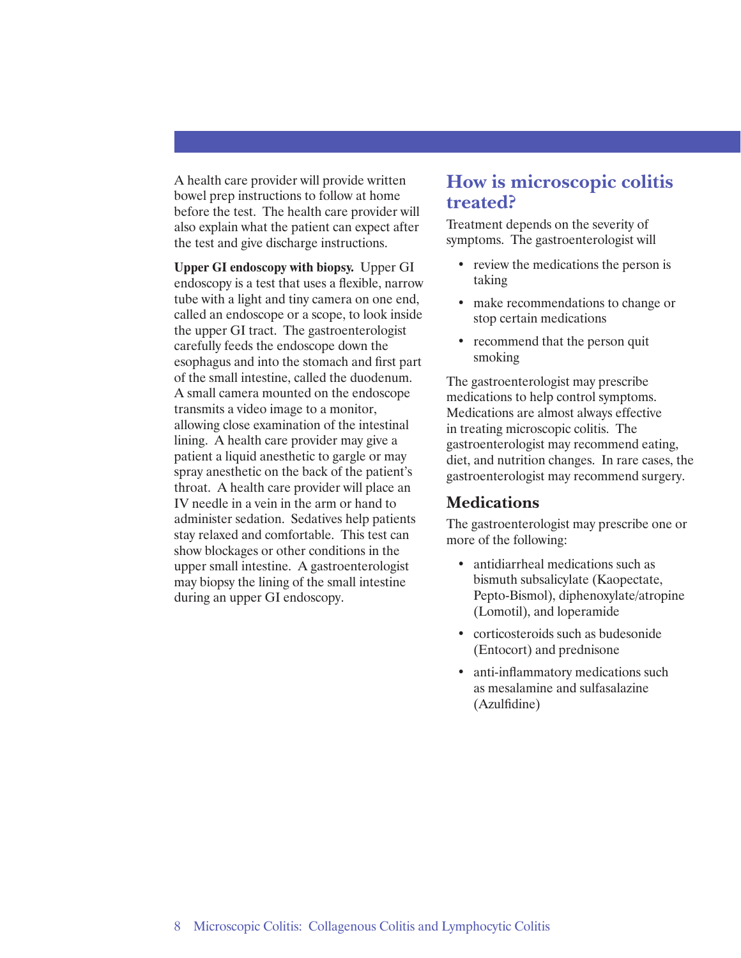A health care provider will provide written bowel prep instructions to follow at home before the test. The health care provider will also explain what the patient can expect after the test and give discharge instructions.

**Upper GI endoscopy with biopsy.** Upper GI endoscopy is a test that uses a flexible, narrow tube with a light and tiny camera on one end, called an endoscope or a scope, to look inside the upper GI tract. The gastroenterologist carefully feeds the endoscope down the esophagus and into the stomach and first part of the small intestine, called the duodenum. A small camera mounted on the endoscope transmits a video image to a monitor, allowing close examination of the intestinal lining. A health care provider may give a patient a liquid anesthetic to gargle or may spray anesthetic on the back of the patient's throat. A health care provider will place an IV needle in a vein in the arm or hand to administer sedation. Sedatives help patients stay relaxed and comfortable. This test can show blockages or other conditions in the upper small intestine. A gastroenterologist may biopsy the lining of the small intestine during an upper GI endoscopy.

# **How is microscopic colitis treated?**

Treatment depends on the severity of symptoms. The gastroenterologist will

- review the medications the person is taking
- make recommendations to change or stop certain medications
- recommend that the person quit smoking

The gastroenterologist may prescribe medications to help control symptoms. Medications are almost always effective in treating microscopic colitis. The gastroenterologist may recommend eating, diet, and nutrition changes. In rare cases, the gastroenterologist may recommend surgery.

#### **Medications**

The gastroenterologist may prescribe one or more of the following:

- antidiarrheal medications such as bismuth subsalicylate (Kaopectate, Pepto-Bismol), diphenoxylate/atropine (Lomotil), and loperamide
- corticosteroids such as budesonide (Entocort) and prednisone
- anti-inflammatory medications such as mesalamine and sulfasalazine (Azulfidine)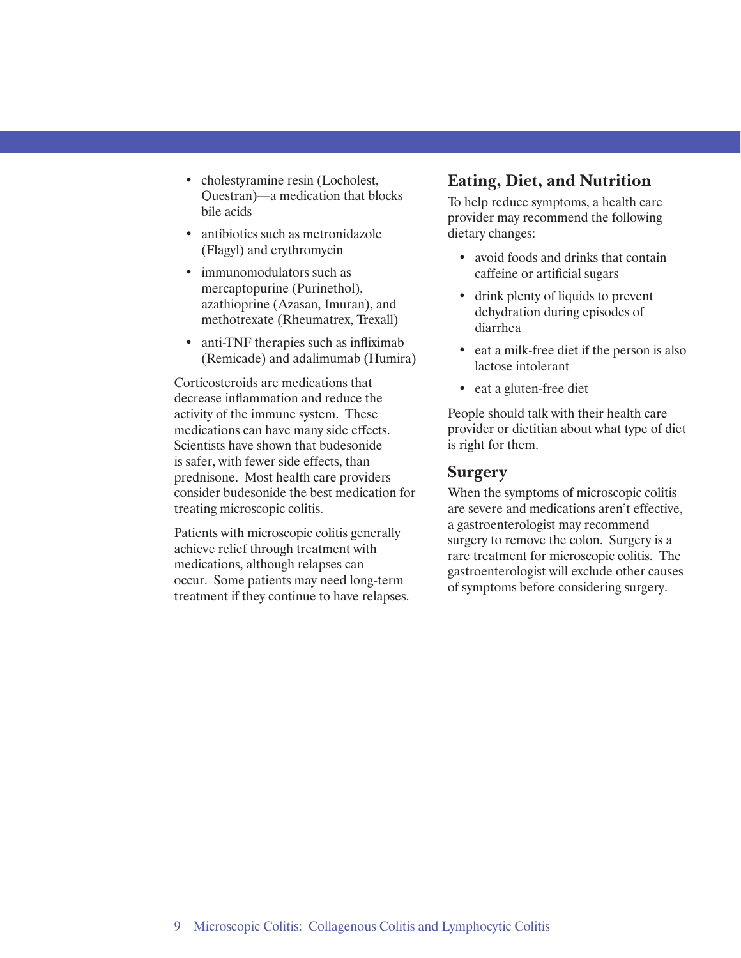- cholestyramine resin (Locholest, Questran)––a medication that blocks bile acids
- antibiotics such as metronidazole (Flagyl) and erythromycin
- immunomodulators such as mercaptopurine (Purinethol), azathioprine (Azasan, Imuran), and methotrexate (Rheumatrex, Trexall)
- anti-TNF therapies such as infliximab (Remicade) and adalimumab (Humira)

Corticosteroids are medications that decrease inflammation and reduce the activity of the immune system. These medications can have many side effects. Scientists have shown that budesonide is safer, with fewer side effects, than prednisone. Most health care providers consider budesonide the best medication for treating microscopic colitis.

Patients with microscopic colitis generally achieve relief through treatment with medications, although relapses can occur. Some patients may need long-term treatment if they continue to have relapses.

## **Eating, Diet, and Nutrition**

To help reduce symptoms, a health care provider may recommend the following dietary changes:

- avoid foods and drinks that contain caffeine or artificial sugars
- drink plenty of liquids to prevent dehydration during episodes of diarrhea
- eat a milk-free diet if the person is also lactose intolerant
- eat a gluten-free diet

People should talk with their health care provider or dietitian about what type of diet is right for them.

## **Surgery**

When the symptoms of microscopic colitis are severe and medications aren't effective, a gastroenterologist may recommend surgery to remove the colon. Surgery is a rare treatment for microscopic colitis. The gastroenterologist will exclude other causes of symptoms before considering surgery.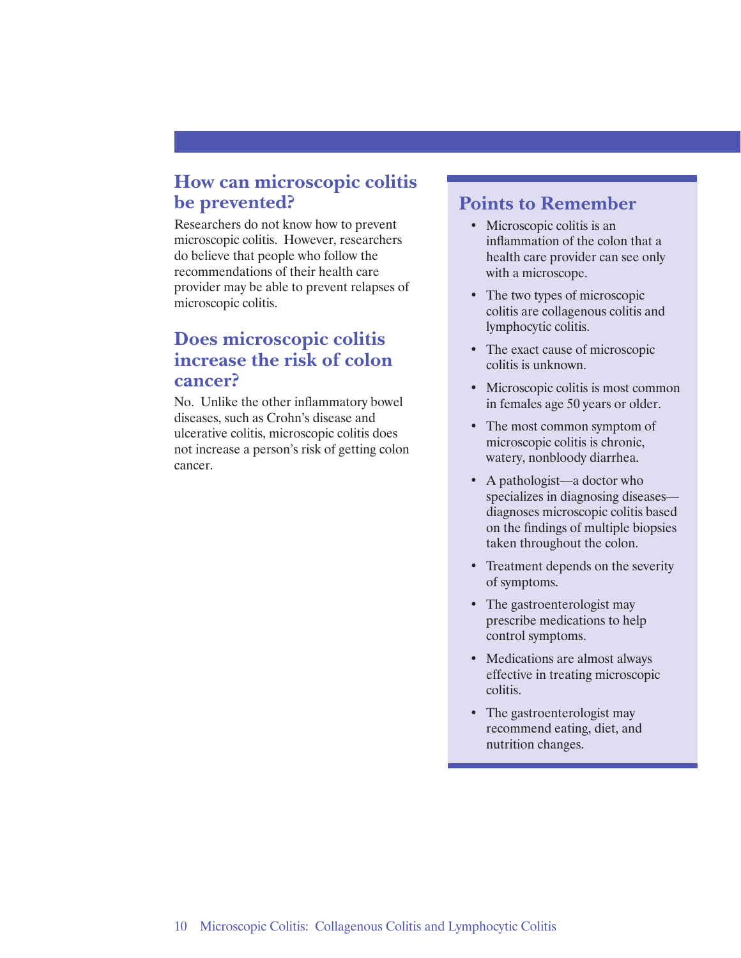# **How can microscopic colitis be prevented?**

Researchers do not know how to prevent microscopic colitis. However, researchers do believe that people who follow the recommendations of their health care provider may be able to prevent relapses of microscopic colitis.

# **Does microscopic colitis increase the risk of colon cancer?**

No. Unlike the other inflammatory bowel diseases, such as Crohn's disease and ulcerative colitis, microscopic colitis does not increase a person's risk of getting colon cancer.

## **Points to Remember**

- Microscopic colitis is an inflammation of the colon that a health care provider can see only with a microscope.
- The two types of microscopic colitis are collagenous colitis and lymphocytic colitis.
- The exact cause of microscopic colitis is unknown.
- Microscopic colitis is most common in females age 50 years or older.
- The most common symptom of microscopic colitis is chronic, watery, nonbloody diarrhea.
- A pathologist—a doctor who specializes in diagnosing diseases–– diagnoses microscopic colitis based on the findings of multiple biopsies taken throughout the colon.
- Treatment depends on the severity of symptoms.
- The gastroenterologist may prescribe medications to help control symptoms.
- Medications are almost always effective in treating microscopic colitis.
- The gastroenterologist may recommend eating, diet, and nutrition changes.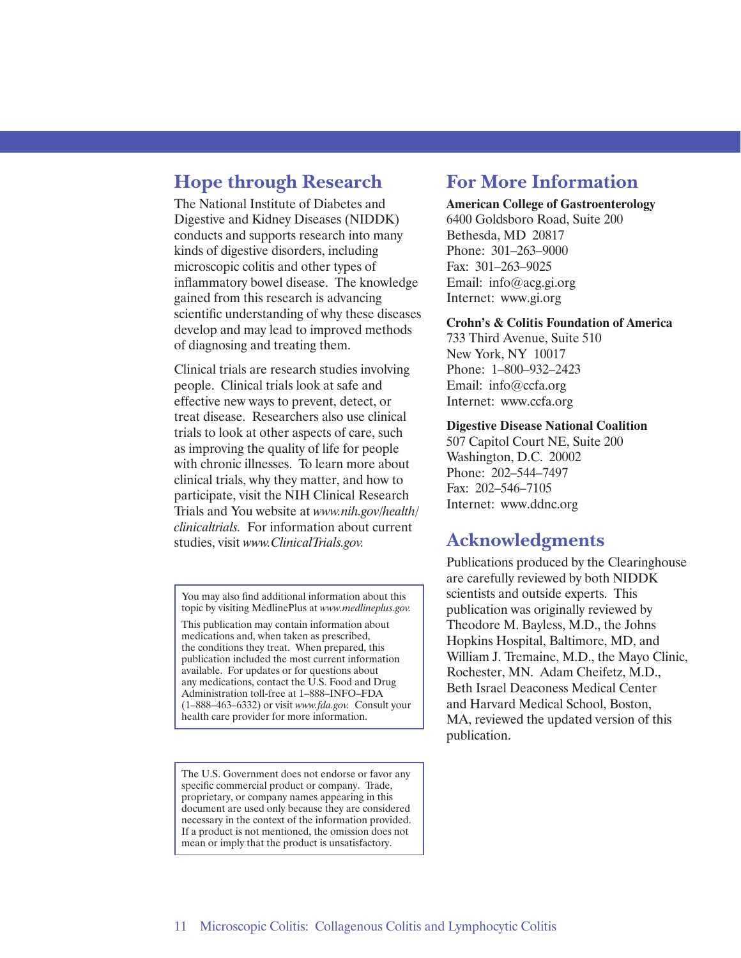# **Hope through Research**

The National Institute of Diabetes and Digestive and Kidney Diseases (NIDDK) conducts and supports research into many kinds of digestive disorders, including microscopic colitis and other types of inflammatory bowel disease. The knowledge gained from this research is advancing scientific understanding of why these diseases develop and may lead to improved methods of diagnosing and treating them.

Clinical trials are research studies involving people. Clinical trials look at safe and effective new ways to prevent, detect, or treat disease. Researchers also use clinical trials to look at other aspects of care, such as improving the quality of life for people with chronic illnesses. To learn more about clinical trials, why they matter, and how to participate, visit the NIH Clinical Research Trials and You website at *www.nih.gov/health/ clinicaltrials.* For information about current studies, visit *www.ClinicalTrials.gov.*

You may also find additional information about this topic by visiting MedlinePlus at *www.medlineplus.gov.*

This publication may contain information about medications and, when taken as prescribed, the conditions they treat. When prepared, this publication included the most current information available. For updates or for questions about any medications, contact the U.S. Food and Drug Administration toll-free at 1–888–INFO–FDA (1–888–463–6332) or visit *www.fda.gov.* Consult your health care provider for more information.

The U.S. Government does not endorse or favor any specific commercial product or company. Trade, proprietary, or company names appearing in this document are used only because they are considered necessary in the context of the information provided. If a product is not mentioned, the omission does not mean or imply that the product is unsatisfactory.

## **For More Information**

#### **American College of Gastroenterology**

6400 Goldsboro Road, Suite 200 Bethesda, MD 20817 Phone: 301–263–9000 Fax: 301–263–9025 Email: info@acg.gi.org Internet: www.gi.org

#### **Crohn's & Colitis Foundation of America**

733 Third Avenue, Suite 510 New York, NY 10017 Phone: 1–800–932–2423 Email: info@ccfa.org Internet: www.ccfa.org

#### **Digestive Disease National Coalition**

507 Capitol Court NE, Suite 200 Washington, D.C. 20002 Phone: 202–544–7497 Fax: 202–546–7105 Internet: www.ddnc.org

## **Acknowledgments**

Publications produced by the Clearinghouse are carefully reviewed by both NIDDK scientists and outside experts. This publication was originally reviewed by Theodore M. Bayless, M.D., the Johns Hopkins Hospital, Baltimore, MD, and William J. Tremaine, M.D., the Mayo Clinic, Rochester, MN. Adam Cheifetz, M.D., Beth Israel Deaconess Medical Center and Harvard Medical School, Boston, MA, reviewed the updated version of this publication.